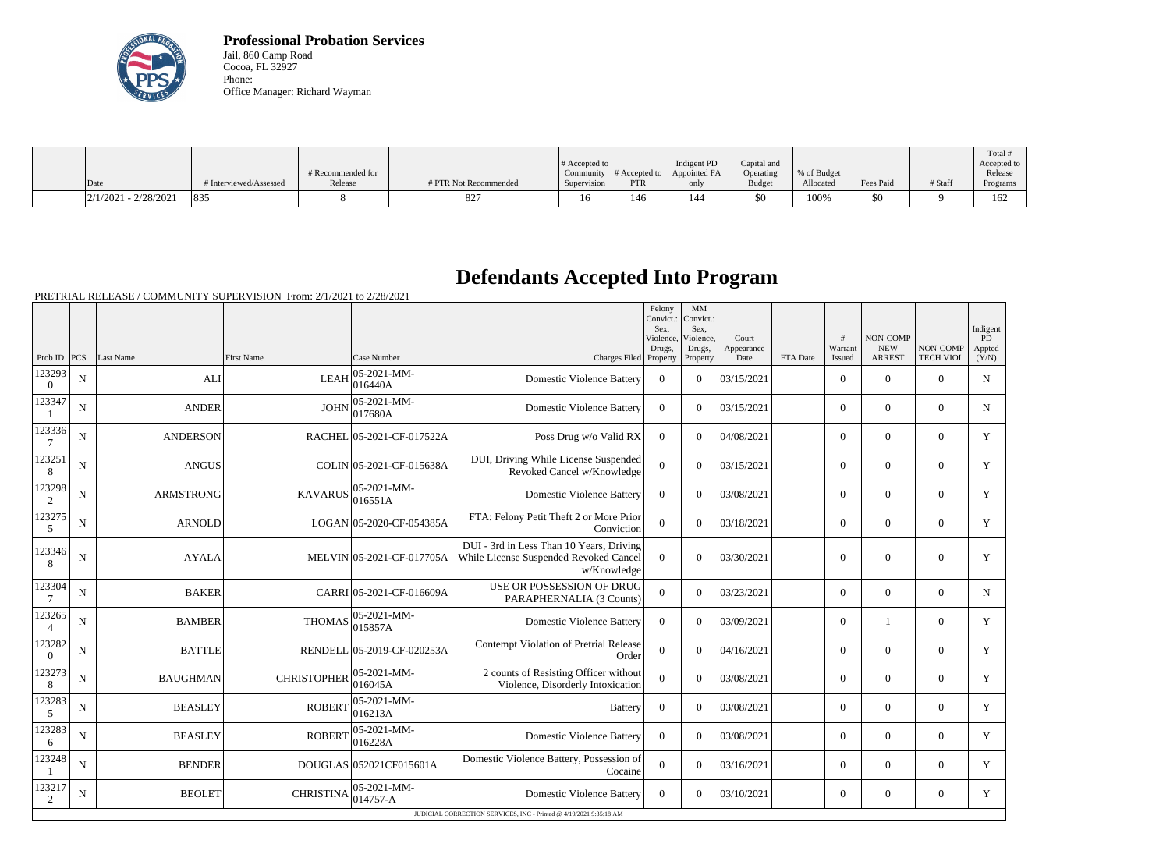

**Professional Probation Services** Jail, 860 Camp Road Cocoa, FL 32927 Phone: Office Manager: Richard Wayman

|                        |                        |                   |                       |                  |                                |                   |               |             |           |         | Total <sup>'</sup> |
|------------------------|------------------------|-------------------|-----------------------|------------------|--------------------------------|-------------------|---------------|-------------|-----------|---------|--------------------|
|                        |                        |                   |                       | $\#$ Accepted to |                                | Indigent PD       | Capital and   |             |           |         | Accepted to 1      |
|                        |                        | # Recommended for |                       |                  | Community $ #$ Accepted to $ $ | Appointed FA      | Operating     | % of Budget |           |         | Release            |
| Date                   | # Interviewed/Assessed | Release           | # PTR Not Recommended | Supervision      | <b>PTR</b>                     | only              | <b>Budget</b> | Allocated   | Fees Paid | # Staff | Programs           |
| $2/1/2021 - 2/28/2021$ | 835                    |                   | 827                   | 16               | 46                             | $\Lambda$<br>l 44 | \$0           | 100%        | 5Ο        |         | 162                |

# **Defendants Accepted Into Program**

|                          |             |                  |                    |                                 |                                                                                                   | Felony<br>Convict.:<br>Sex.<br>Violence, | MM<br>Convict.:<br>Sex.<br>Violence, | Court              |          | #                 | NON-COMP                    |                              | Indigent<br><b>PD</b> |
|--------------------------|-------------|------------------|--------------------|---------------------------------|---------------------------------------------------------------------------------------------------|------------------------------------------|--------------------------------------|--------------------|----------|-------------------|-----------------------------|------------------------------|-----------------------|
| Prob ID $ PCS $          |             | Last Name        | <b>First Name</b>  | Case Number                     | Charges Filed Property                                                                            | Drugs,                                   | Drugs,<br>Property                   | Appearance<br>Date | FTA Date | Warrant<br>Issued | <b>NEW</b><br><b>ARREST</b> | NON-COMP<br><b>TECH VIOL</b> | Appted<br>(Y/N)       |
| 123293<br>$\overline{0}$ | N           | <b>ALI</b>       | <b>LEAH</b>        | 05-2021-MM-<br> 016440A         | <b>Domestic Violence Battery</b>                                                                  | $\overline{0}$                           | $\Omega$                             | 03/15/2021         |          | $\overline{0}$    | $\theta$                    | $\overline{0}$               | N                     |
| 123347                   | $\mathbf N$ | <b>ANDER</b>     | <b>JOHN</b>        | $ 05-2021-MM-$<br>017680A       | <b>Domestic Violence Battery</b>                                                                  | $\Omega$                                 | $\Omega$                             | 03/15/2021         |          | $\Omega$          | $\theta$                    | $\Omega$                     | $\mathbf N$           |
| 123336<br>$\overline{7}$ | $\mathbf N$ | <b>ANDERSON</b>  |                    | RACHEL 05-2021-CF-017522A       | Poss Drug w/o Valid RX                                                                            | $\Omega$                                 | $\Omega$                             | 04/08/2021         |          | $\Omega$          | $\Omega$                    | $\Omega$                     | Y                     |
| 123251<br>8              | ${\bf N}$   | <b>ANGUS</b>     |                    | COLIN 05-2021-CF-015638A        | DUI, Driving While License Suspended<br>Revoked Cancel w/Knowledge                                | $\overline{0}$                           | $\Omega$                             | 03/15/2021         |          | $\overline{0}$    | $\mathbf{0}$                | $\mathbf{0}$                 | Y                     |
| 123298<br>2              | ${\bf N}$   | <b>ARMSTRONG</b> | <b>KAVARUS</b>     | 05-2021-MM-<br>016551A          | <b>Domestic Violence Battery</b>                                                                  | $\Omega$                                 | $\Omega$                             | 03/08/2021         |          | $\overline{0}$    | $\mathbf{0}$                | $\overline{0}$               | Y                     |
| 123275<br>5              | N           | <b>ARNOLD</b>    |                    | LOGAN 05-2020-CF-054385A        | FTA: Felony Petit Theft 2 or More Prior<br>Conviction                                             | $\Omega$                                 | $\Omega$                             | 03/18/2021         |          | $\Omega$          | $\theta$                    | $\overline{0}$               | Y                     |
| 123346<br>8              | ${\bf N}$   | <b>AYALA</b>     |                    | MELVIN 05-2021-CF-017705A       | DUI - 3rd in Less Than 10 Years, Driving<br>While License Suspended Revoked Cancel<br>w/Knowledge | $\Omega$                                 | $\Omega$                             | 03/30/2021         |          | $\overline{0}$    | $\overline{0}$              | $\mathbf{0}$                 | Y                     |
| 123304<br>7              | ${\bf N}$   | <b>BAKER</b>     |                    | CARRI 05-2021-CF-016609A        | USE OR POSSESSION OF DRUG<br>PARAPHERNALIA (3 Counts)                                             | $\Omega$                                 | $\overline{0}$                       | 03/23/2021         |          | $\overline{0}$    | $\mathbf{0}$                | $\overline{0}$               | $\mathbf N$           |
| 123265<br>$\overline{4}$ | $\mathbf N$ | <b>BAMBER</b>    | <b>THOMAS</b>      | 05-2021-MM-<br>015857A          | <b>Domestic Violence Battery</b>                                                                  | $\Omega$                                 | $\Omega$                             | 03/09/2021         |          | $\overline{0}$    |                             | $\overline{0}$               | Y                     |
| 123282<br>$\Omega$       | $\mathbf N$ | <b>BATTLE</b>    |                    | RENDELL 05-2019-CF-020253A      | Contempt Violation of Pretrial Release<br>Order                                                   | $\overline{0}$                           | $\Omega$                             | 04/16/2021         |          | $\Omega$          | $\theta$                    | $\Omega$                     | Y                     |
| 123273<br>8              | $\mathbf N$ | <b>BAUGHMAN</b>  | <b>CHRISTOPHER</b> | $ 05 - 2021 - MM -$<br>016045A  | 2 counts of Resisting Officer without<br>Violence, Disorderly Intoxication                        | $\Omega$                                 | $\Omega$                             | 03/08/2021         |          | $\overline{0}$    | $\overline{0}$              | $\overline{0}$               | Y                     |
| 123283<br>5              | ${\bf N}$   | <b>BEASLEY</b>   | <b>ROBERT</b>      | $ 05 - 2021 - MM -$<br> 016213A | <b>Battery</b>                                                                                    | $\overline{0}$                           | $\Omega$                             | 03/08/2021         |          | $\overline{0}$    | $\theta$                    | $\overline{0}$               | Y                     |
| 123283<br>6              | $\mathbf N$ | <b>BEASLEY</b>   | <b>ROBERT</b>      | $ 05-2021-MM-$<br>016228A       | <b>Domestic Violence Battery</b>                                                                  | $\Omega$                                 | $\Omega$                             | 03/08/2021         |          | $\Omega$          | $\theta$                    | $\overline{0}$               | Y                     |
| 123248                   | $\mathbf N$ | <b>BENDER</b>    |                    | DOUGLAS 052021CF015601A         | Domestic Violence Battery, Possession of<br>Cocaine                                               | $\Omega$                                 | $\Omega$                             | 03/16/2021         |          | $\overline{0}$    | $\theta$                    | $\overline{0}$               | Y                     |
| 123217<br>2              | ${\bf N}$   | <b>BEOLET</b>    | <b>CHRISTINA</b>   | $ 05 - 2021 - MM -$<br>014757-A | <b>Domestic Violence Battery</b>                                                                  | $\overline{0}$                           | $\Omega$                             | 03/10/2021         |          | $\overline{0}$    | $\boldsymbol{0}$            | $\overline{0}$               | Y                     |
|                          |             |                  |                    |                                 | JUDICIAL CORRECTION SERVICES, INC - Printed @ 4/19/2021 9:35:18 AM                                |                                          |                                      |                    |          |                   |                             |                              |                       |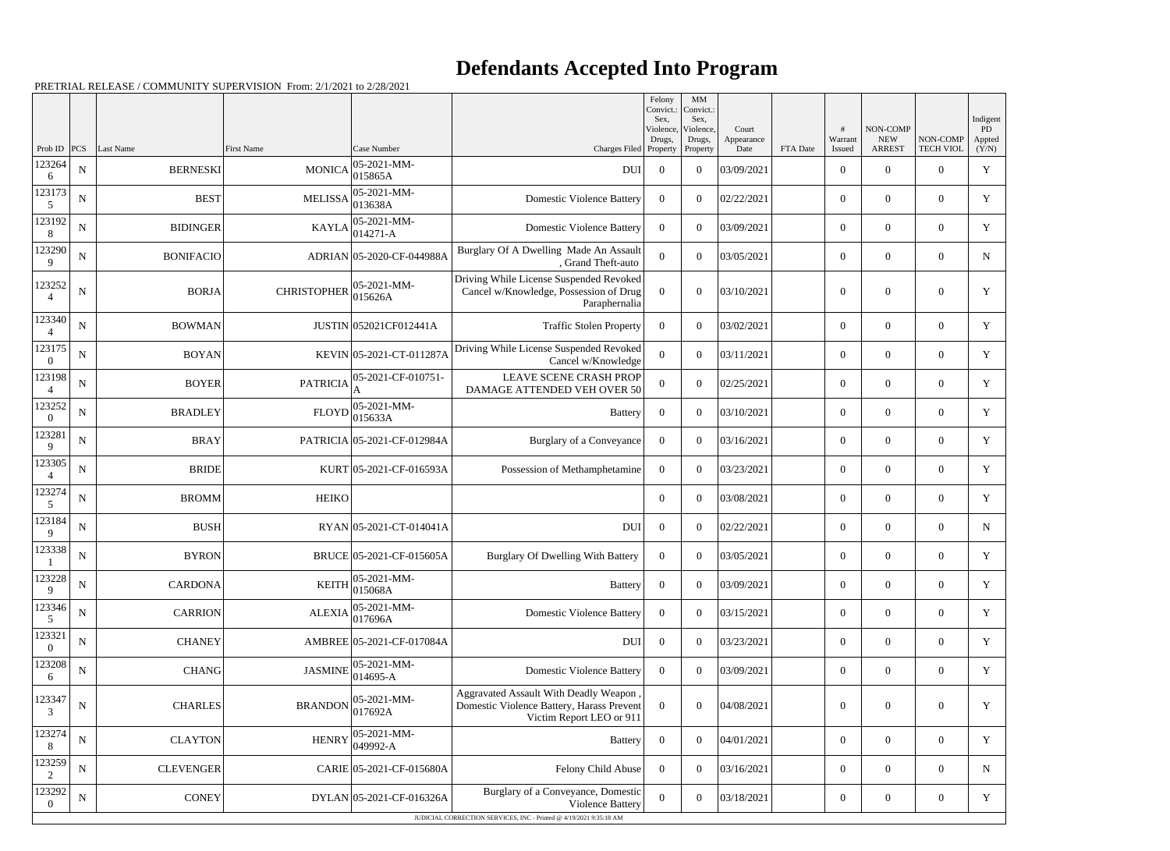|                          |             |                  |                    |                             |                                                                                                                | Felony<br>Convict.:<br>Sex. | MM<br>Convict.:<br>Sex, |                     |          |                  |                        |                  | Indigent     |
|--------------------------|-------------|------------------|--------------------|-----------------------------|----------------------------------------------------------------------------------------------------------------|-----------------------------|-------------------------|---------------------|----------|------------------|------------------------|------------------|--------------|
|                          |             |                  |                    |                             |                                                                                                                | Violence,<br>Drugs,         | Violence,<br>Drugs,     | Court<br>Appearance |          | #<br>Warrant     | NON-COMP<br><b>NEW</b> | NON-COMP         | PD<br>Appted |
| Prob ID                  | PCS         | Last Name        | <b>First Name</b>  | Case Number                 | Charges Filed Property                                                                                         |                             | Property                | Date                | FTA Date | Issued           | <b>ARREST</b>          | <b>TECH VIOL</b> | (Y/N)        |
| 123264<br>6              | ${\bf N}$   | <b>BERNESKI</b>  | <b>MONICA</b>      | 05-2021-MM-<br>015865A      | DUI                                                                                                            | $\overline{0}$              | $\overline{0}$          | 03/09/2021          |          | $\overline{0}$   | $\overline{0}$         | $\overline{0}$   | $\mathbf Y$  |
| 123173<br>5              | ${\bf N}$   | <b>BEST</b>      | <b>MELISSA</b>     | 05-2021-MM-<br>013638A      | <b>Domestic Violence Battery</b>                                                                               | $\overline{0}$              | $\boldsymbol{0}$        | 02/22/2021          |          | $\overline{0}$   | $\mathbf{0}$           | $\overline{0}$   | Y            |
| 123192<br>8              | ${\bf N}$   | <b>BIDINGER</b>  | <b>KAYLA</b>       | 05-2021-MM-<br>014271-A     | <b>Domestic Violence Battery</b>                                                                               | $\overline{0}$              | $\boldsymbol{0}$        | 03/09/2021          |          | $\overline{0}$   | $\overline{0}$         | $\overline{0}$   | $\mathbf Y$  |
| 123290<br>9              | ${\bf N}$   | <b>BONIFACIO</b> |                    | ADRIAN 05-2020-CF-044988A   | Burglary Of A Dwelling Made An Assault<br>, Grand Theft-auto                                                   | $\overline{0}$              | $\overline{0}$          | 03/05/2021          |          | $\overline{0}$   | $\mathbf{0}$           | $\overline{0}$   | $\mathbf N$  |
| 123252<br>4              | ${\bf N}$   | <b>BORJA</b>     | <b>CHRISTOPHER</b> | 05-2021-MM-<br>015626A      | Driving While License Suspended Revoked<br>Cancel w/Knowledge, Possession of Drug<br>Paraphernalia             | $\Omega$                    | $\Omega$                | 03/10/2021          |          | $\overline{0}$   | $\mathbf{0}$           | $\overline{0}$   | $\mathbf Y$  |
| 123340                   | ${\bf N}$   | <b>BOWMAN</b>    |                    | JUSTIN 052021CF012441A      | <b>Traffic Stolen Property</b>                                                                                 | $\overline{0}$              | $\mathbf{0}$            | 03/02/2021          |          | $\overline{0}$   | $\overline{0}$         | $\overline{0}$   | Y            |
| 123175<br>$\theta$       | ${\bf N}$   | <b>BOYAN</b>     |                    | KEVIN 05-2021-CT-011287A    | Driving While License Suspended Revoked<br>Cancel w/Knowledge                                                  | $\overline{0}$              | $\Omega$                | 03/11/2021          |          | $\overline{0}$   | $\overline{0}$         | $\overline{0}$   | Y            |
| 123198                   | ${\bf N}$   | <b>BOYER</b>     | <b>PATRICIA</b>    | 05-2021-CF-010751-          | <b>LEAVE SCENE CRASH PROP</b><br>DAMAGE ATTENDED VEH OVER 50                                                   | $\overline{0}$              | $\overline{0}$          | 02/25/2021          |          | $\overline{0}$   | $\overline{0}$         | $\overline{0}$   | Y            |
| 123252<br>$\Omega$       | ${\bf N}$   | <b>BRADLEY</b>   | <b>FLOYD</b>       | 05-2021-MM-<br>015633A      | Battery                                                                                                        | $\overline{0}$              | $\boldsymbol{0}$        | 03/10/2021          |          | $\overline{0}$   | $\overline{0}$         | $\overline{0}$   | $\mathbf Y$  |
| 123281<br>9              | ${\bf N}$   | <b>BRAY</b>      |                    | PATRICIA 05-2021-CF-012984A | Burglary of a Conveyance                                                                                       | $\overline{0}$              | $\overline{0}$          | 03/16/2021          |          | $\overline{0}$   | $\overline{0}$         | $\overline{0}$   | Y            |
| 123305<br>$\overline{4}$ | ${\bf N}$   | <b>BRIDE</b>     |                    | KURT 05-2021-CF-016593A     | Possession of Methamphetamine                                                                                  | $\overline{0}$              | $\theta$                | 03/23/2021          |          | $\overline{0}$   | $\overline{0}$         | $\overline{0}$   | $\mathbf Y$  |
| 123274<br>5              | ${\bf N}$   | <b>BROMM</b>     | <b>HEIKO</b>       |                             |                                                                                                                | $\overline{0}$              | $\overline{0}$          | 03/08/2021          |          | $\overline{0}$   | $\mathbf{0}$           | $\overline{0}$   | Y            |
| 123184<br>9              | ${\bf N}$   | <b>BUSH</b>      |                    | RYAN 05-2021-CT-014041A     | DUI                                                                                                            | $\overline{0}$              | $\Omega$                | 02/22/2021          |          | $\overline{0}$   | $\boldsymbol{0}$       | $\overline{0}$   | N            |
| 123338                   | ${\bf N}$   | <b>BYRON</b>     |                    | BRUCE 05-2021-CF-015605A    | Burglary Of Dwelling With Battery                                                                              | $\overline{0}$              | $\overline{0}$          | 03/05/2021          |          | $\overline{0}$   | $\overline{0}$         | $\overline{0}$   | Y            |
| 123228<br>9              | ${\bf N}$   | <b>CARDONA</b>   | <b>KEITH</b>       | 05-2021-MM-<br>015068A      | <b>Battery</b>                                                                                                 | $\overline{0}$              | $\mathbf{0}$            | 03/09/2021          |          | $\overline{0}$   | $\boldsymbol{0}$       | $\overline{0}$   | $\mathbf Y$  |
| 123346<br>5              | ${\bf N}$   | <b>CARRION</b>   | <b>ALEXIA</b>      | 05-2021-MM-<br>017696A      | <b>Domestic Violence Battery</b>                                                                               | $\overline{0}$              | $\boldsymbol{0}$        | 03/15/2021          |          | $\overline{0}$   | $\overline{0}$         | $\overline{0}$   | Y            |
| 123321<br>$\overline{0}$ | ${\bf N}$   | <b>CHANEY</b>    |                    | AMBREE 05-2021-CF-017084A   | <b>DUI</b>                                                                                                     | $\overline{0}$              | $\boldsymbol{0}$        | 03/23/2021          |          | $\mathbf{0}$     | $\overline{0}$         | $\overline{0}$   | Y            |
| 123208<br>6              | ${\bf N}$   | <b>CHANG</b>     | <b>JASMINE</b>     | 05-2021-MM-<br>014695-A     | <b>Domestic Violence Battery</b>                                                                               | $\overline{0}$              | $\overline{0}$          | 03/09/2021          |          | $\overline{0}$   | $\overline{0}$         | $\overline{0}$   | Y            |
| 123347<br>3              | ${\bf N}$   | <b>CHARLES</b>   | <b>BRANDON</b>     | 05-2021-MM-<br>017692A      | Aggravated Assault With Deadly Weapon<br>Domestic Violence Battery, Harass Prevent<br>Victim Report LEO or 911 | $\overline{0}$              | $\overline{0}$          | 04/08/2021          |          | $\boldsymbol{0}$ | $\overline{0}$         | $\boldsymbol{0}$ | Y            |
| 123274<br>8              | ${\bf N}$   | <b>CLAYTON</b>   | <b>HENRY</b>       | 05-2021-MM-<br>049992-A     | <b>Battery</b>                                                                                                 | $\overline{0}$              | $\overline{0}$          | 04/01/2021          |          | $\overline{0}$   | $\overline{0}$         | $\overline{0}$   | Y            |
| 123259<br>$\overline{c}$ | $\mathbf N$ | <b>CLEVENGER</b> |                    | CARIE 05-2021-CF-015680A    | Felony Child Abuse                                                                                             | $\overline{0}$              | $\mathbf{0}$            | 03/16/2021          |          | $\overline{0}$   | $\overline{0}$         | $\overline{0}$   | N            |
| 123292<br>$\theta$       | ${\bf N}$   | <b>CONEY</b>     |                    | DYLAN 05-2021-CF-016326A    | Burglary of a Conveyance, Domestic<br>Violence Battery                                                         | $\overline{0}$              | $\boldsymbol{0}$        | 03/18/2021          |          | $\boldsymbol{0}$ | $\boldsymbol{0}$       | $\boldsymbol{0}$ | Y            |
|                          |             |                  |                    |                             | JUDICIAL CORRECTION SERVICES, INC - Printed @ 4/19/2021 9:35:18 AM                                             |                             |                         |                     |          |                  |                        |                  |              |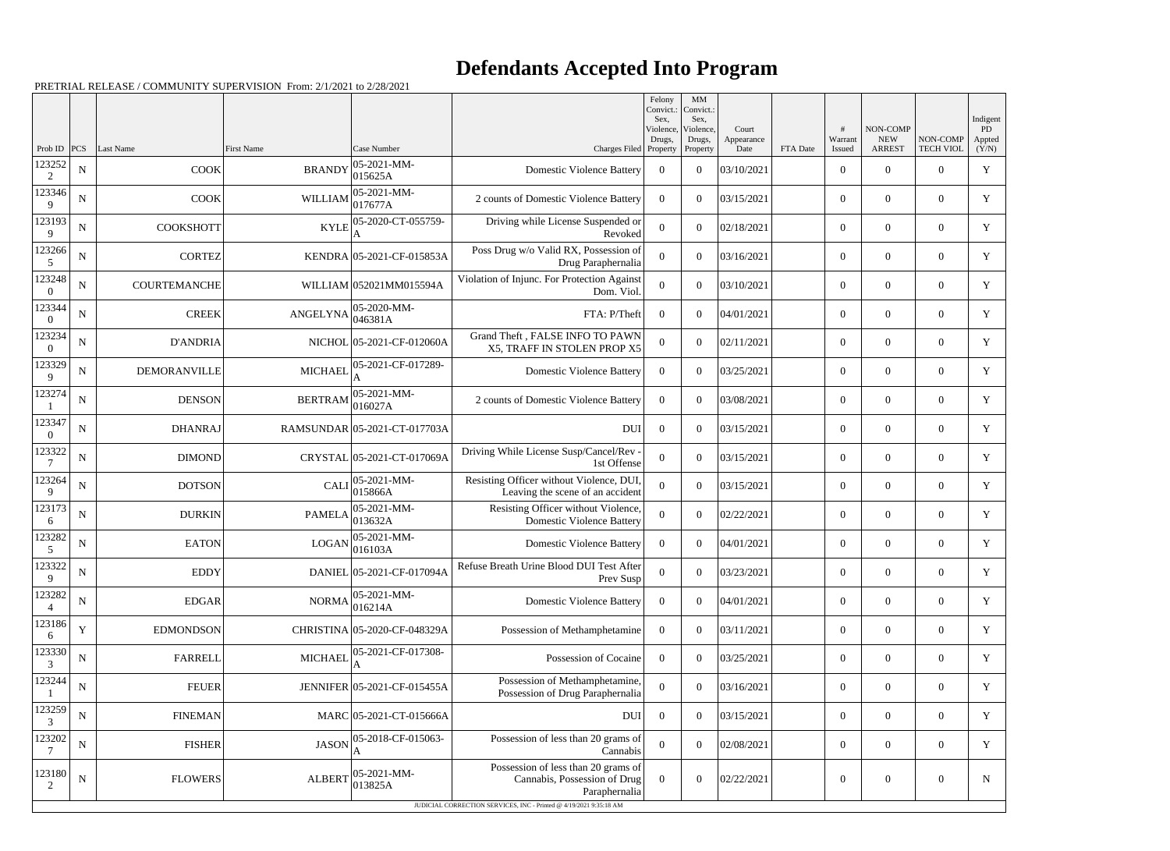|                          |             |                     |                      |                              |                                                                                      | Felony<br>Convict.:<br>Sex. | MM<br>Convict.:<br>Sex, |                     |          |                  |                        |                  | Indigent     |
|--------------------------|-------------|---------------------|----------------------|------------------------------|--------------------------------------------------------------------------------------|-----------------------------|-------------------------|---------------------|----------|------------------|------------------------|------------------|--------------|
|                          |             |                     |                      |                              |                                                                                      | Violence,<br>Drugs,         | Violence,<br>Drugs,     | Court<br>Appearance |          | #<br>Warrant     | NON-COMP<br><b>NEW</b> | NON-COMP         | PD<br>Appted |
| Prob ID                  | PCS         | Last Name           | <b>First Name</b>    | Case Number                  | Charges Filed Property                                                               |                             | Property                | Date                | FTA Date | Issued           | <b>ARREST</b>          | <b>TECH VIOL</b> | (Y/N)        |
| 123252<br>2              | $\mathbf N$ | <b>COOK</b>         | <b>BRANDY</b>        | 05-2021-MM-<br>015625A       | <b>Domestic Violence Battery</b>                                                     | $\overline{0}$              | $\theta$                | 03/10/2021          |          | $\overline{0}$   | $\overline{0}$         | $\overline{0}$   | $\mathbf Y$  |
| 123346<br>9              | ${\bf N}$   | <b>COOK</b>         | WILLIAM              | 05-2021-MM-<br>017677A       | 2 counts of Domestic Violence Battery                                                | $\Omega$                    | $\theta$                | 03/15/2021          |          | $\overline{0}$   | $\mathbf{0}$           | $\overline{0}$   | Y            |
| 123193<br>9              | ${\bf N}$   | <b>COOKSHOTT</b>    | <b>KYLE</b>          | 05-2020-CT-055759-           | Driving while License Suspended or<br>Revoked                                        | $\theta$                    | $\theta$                | 02/18/2021          |          | $\overline{0}$   | $\overline{0}$         | $\overline{0}$   | Y            |
| 123266<br>5              | ${\bf N}$   | <b>CORTEZ</b>       |                      | KENDRA 05-2021-CF-015853A    | Poss Drug w/o Valid RX, Possession of<br>Drug Paraphernalia                          | 0                           | $\theta$                | 03/16/2021          |          | $\overline{0}$   | $\overline{0}$         | $\overline{0}$   | Y            |
| 123248<br>$\Omega$       | ${\bf N}$   | COURTEMANCHE        |                      | WILLIAM 052021MM015594A      | Violation of Injunc. For Protection Against<br>Dom. Viol.                            | $\Omega$                    | $\theta$                | 03/10/2021          |          | $\overline{0}$   | $\mathbf{0}$           | $\overline{0}$   | $\mathbf Y$  |
| 123344<br>$\Omega$       | N           | <b>CREEK</b>        | $ANGELYNA$ $046381A$ | 05-2020-MM-                  | FTA: P/Theft                                                                         | $\Omega$                    | $\theta$                | 04/01/2021          |          | $\overline{0}$   | $\theta$               | $\overline{0}$   | Y            |
| 123234<br>$\overline{0}$ | ${\bf N}$   | <b>D'ANDRIA</b>     |                      | NICHOL 05-2021-CF-012060A    | Grand Theft, FALSE INFO TO PAWN<br>X5, TRAFF IN STOLEN PROP X5                       | $\Omega$                    | $\theta$                | 02/11/2021          |          | $\boldsymbol{0}$ | $\overline{0}$         | $\overline{0}$   | $\mathbf Y$  |
| 123329<br>9              | N           | <b>DEMORANVILLE</b> | <b>MICHAEL</b>       | 05-2021-CF-017289-           | <b>Domestic Violence Battery</b>                                                     | $\Omega$                    | $\theta$                | 03/25/2021          |          | $\overline{0}$   | $\overline{0}$         | $\overline{0}$   | Y            |
| 123274                   | ${\bf N}$   | <b>DENSON</b>       | <b>BERTRAM</b>       | 05-2021-MM-<br>016027A       | 2 counts of Domestic Violence Battery                                                | $\theta$                    | $\theta$                | 03/08/2021          |          | $\overline{0}$   | $\overline{0}$         | $\overline{0}$   | Y            |
| 123347<br>$\overline{0}$ | ${\bf N}$   | <b>DHANRAJ</b>      |                      | RAMSUNDAR 05-2021-CT-017703A | <b>DUI</b>                                                                           | $\overline{0}$              | $\theta$                | 03/15/2021          |          | $\overline{0}$   | $\theta$               | $\overline{0}$   | Y            |
| 123322                   | ${\bf N}$   | <b>DIMOND</b>       |                      | CRYSTAL 05-2021-CT-017069A   | Driving While License Susp/Cancel/Rev<br>1st Offense                                 | $\Omega$                    | $\theta$                | 03/15/2021          |          | $\overline{0}$   | $\overline{0}$         | $\overline{0}$   | $\mathbf Y$  |
| 123264<br>9              | ${\bf N}$   | <b>DOTSON</b>       | <b>CALI</b>          | 05-2021-MM-<br>015866A       | Resisting Officer without Violence, DUI<br>Leaving the scene of an accident          | 0                           | $\theta$                | 03/15/2021          |          | $\overline{0}$   | $\overline{0}$         | $\overline{0}$   | Y            |
| 123173<br>6              | ${\bf N}$   | <b>DURKIN</b>       | <b>PAMELA</b>        | 05-2021-MM-<br>013632A       | Resisting Officer without Violence,<br><b>Domestic Violence Battery</b>              | $\Omega$                    | $\theta$                | 02/22/2021          |          | $\overline{0}$   | $\overline{0}$         | $\overline{0}$   | $\mathbf Y$  |
| 123282<br>5              | N           | <b>EATON</b>        | <b>LOGAN</b>         | 05-2021-MM-<br> 016103A      | <b>Domestic Violence Battery</b>                                                     | $\Omega$                    | $\theta$                | 04/01/2021          |          | $\overline{0}$   | $\overline{0}$         | $\overline{0}$   | Y            |
| 123322<br>9              | ${\bf N}$   | <b>EDDY</b>         |                      | DANIEL 05-2021-CF-017094A    | Refuse Breath Urine Blood DUI Test After<br>Prev Susp                                | $\overline{0}$              | $\overline{0}$          | 03/23/2021          |          | $\mathbf{0}$     | $\overline{0}$         | $\overline{0}$   | Y            |
| 123282                   | ${\bf N}$   | EDGAR               | NORMA                | 05-2021-MM-<br>016214A       | <b>Domestic Violence Battery</b>                                                     | $\overline{0}$              | $\overline{0}$          | 04/01/2021          |          | $\boldsymbol{0}$ | $\boldsymbol{0}$       | $\overline{0}$   | Y            |
| 123186<br>6              | $\mathbf Y$ | <b>EDMONDSON</b>    |                      | CHRISTINA 05-2020-CF-048329A | Possession of Methamphetamine                                                        | $\overline{0}$              | $\overline{0}$          | 03/11/2021          |          | $\boldsymbol{0}$ | $\overline{0}$         | $\overline{0}$   | Y            |
| 123330<br>3              | ${\bf N}$   | <b>FARRELL</b>      | <b>MICHAEL</b>       | 05-2021-CF-017308-           | Possession of Cocaine                                                                | $\overline{0}$              | $\overline{0}$          | 03/25/2021          |          | $\overline{0}$   | $\boldsymbol{0}$       | $\overline{0}$   | Y            |
| 123244                   | ${\bf N}$   | <b>FEUER</b>        |                      | JENNIFER 05-2021-CF-015455A  | Possession of Methamphetamine,<br>Possession of Drug Paraphernalia                   | $\theta$                    | $\overline{0}$          | 03/16/2021          |          | $\overline{0}$   | $\overline{0}$         | $\overline{0}$   | Y            |
| 123259<br>3              | ${\bf N}$   | <b>FINEMAN</b>      |                      | MARC 05-2021-CT-015666A      | <b>DUI</b>                                                                           | $\overline{0}$              | $\overline{0}$          | 03/15/2021          |          | $\boldsymbol{0}$ | $\mathbf{0}$           | $\overline{0}$   | Y            |
| 123202<br>7              | ${\bf N}$   | <b>FISHER</b>       | <b>JASON</b>         | 05-2018-CF-015063-           | Possession of less than 20 grams of<br>Cannabis                                      | $\overline{0}$              | $\overline{0}$          | 02/08/2021          |          | $\boldsymbol{0}$ | $\boldsymbol{0}$       | $\overline{0}$   | $\mathbf Y$  |
| 123180<br>2              | ${\bf N}$   | <b>FLOWERS</b>      | <b>ALBERT</b>        | 05-2021-MM-<br>013825A       | Possession of less than 20 grams of<br>Cannabis, Possession of Drug<br>Paraphernalia | $\Omega$                    | $\overline{0}$          | 02/22/2021          |          | $\boldsymbol{0}$ | $\boldsymbol{0}$       | $\boldsymbol{0}$ | N            |
|                          |             |                     |                      |                              | JUDICIAL CORRECTION SERVICES, INC - Printed @ 4/19/2021 9:35:18 AM                   |                             |                         |                     |          |                  |                        |                  |              |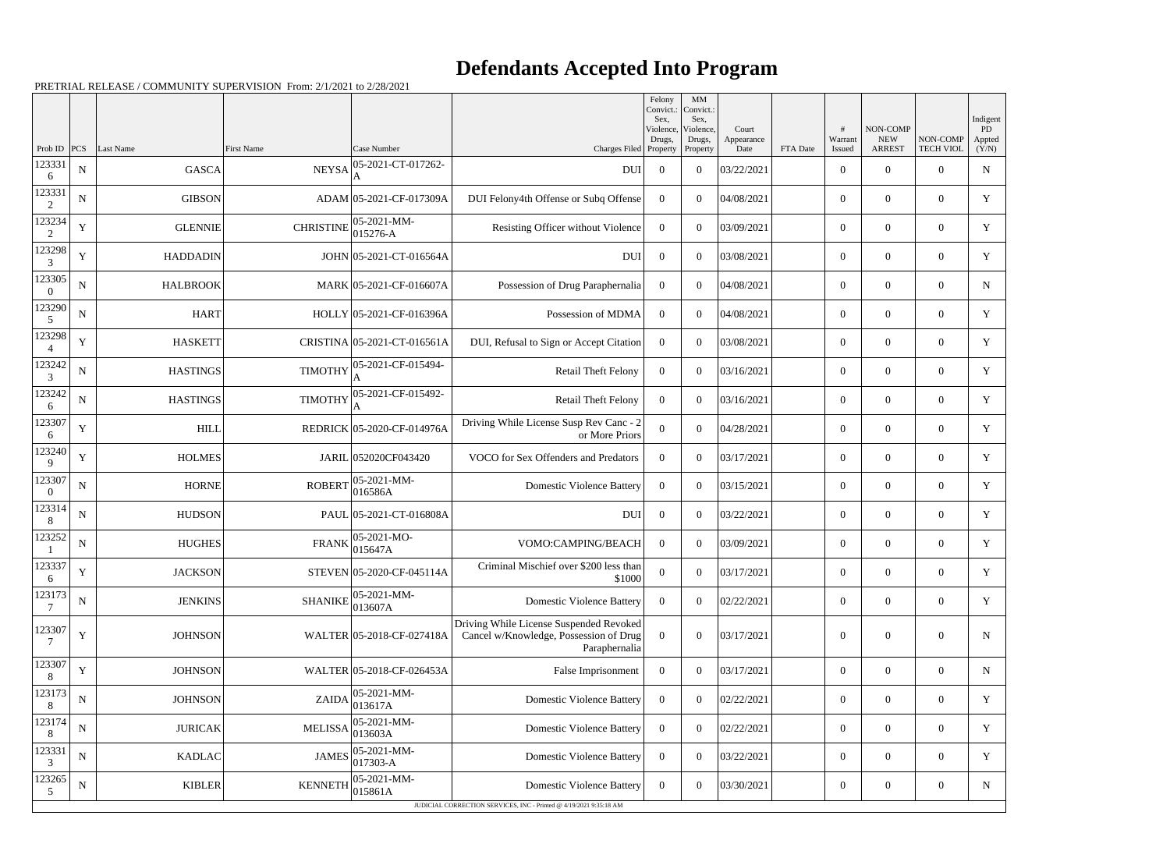|                          |             |                      |                   |                                |                                                                                                    | Felony<br>Convict.:<br>Sex.     | MM<br>Convict.:<br>Sex,         |                             |          |                        |                                         |                              | Indigent              |
|--------------------------|-------------|----------------------|-------------------|--------------------------------|----------------------------------------------------------------------------------------------------|---------------------------------|---------------------------------|-----------------------------|----------|------------------------|-----------------------------------------|------------------------------|-----------------------|
| Prob ID                  |             | <b>PCS</b> Last Name | <b>First Name</b> | Case Number                    | Charges Filed                                                                                      | Violence,<br>Drugs,<br>Property | Violence,<br>Drugs,<br>Property | Court<br>Appearance<br>Date | FTA Date | #<br>Warrant<br>Issued | NON-COMP<br><b>NEW</b><br><b>ARREST</b> | NON-COMP<br><b>TECH VIOL</b> | PD<br>Appted<br>(Y/N) |
| 123331<br>6              | N           | <b>GASCA</b>         | <b>NEYSA</b>      | 05-2021-CT-017262-             | <b>DUI</b>                                                                                         | $\overline{0}$                  | $\overline{0}$                  | 03/22/2021                  |          | $\boldsymbol{0}$       | $\Omega$                                | $\Omega$                     | $\mathbf N$           |
| 123331<br>2              | $\mathbf N$ | <b>GIBSON</b>        |                   | ADAM 05-2021-CF-017309A        | DUI Felony4th Offense or Subq Offense                                                              | $\Omega$                        | $\Omega$                        | 04/08/2021                  |          | $\boldsymbol{0}$       | $\Omega$                                | $\overline{0}$               | Y                     |
| 123234<br>2              | Y           | <b>GLENNIE</b>       | <b>CHRISTINE</b>  | $ 05-2021-MM-$<br>$015276 - A$ | Resisting Officer without Violence                                                                 | $\overline{0}$                  | $\theta$                        | 03/09/2021                  |          | $\boldsymbol{0}$       | $\Omega$                                | $\overline{0}$               | $\mathbf Y$           |
| 123298<br>3              | $\mathbf Y$ | <b>HADDADIN</b>      |                   | JOHN 05-2021-CT-016564A        | <b>DUI</b>                                                                                         | $\overline{0}$                  | $\theta$                        | 03/08/2021                  |          | $\overline{0}$         | $\overline{0}$                          | $\overline{0}$               | Y                     |
| 123305<br>$\overline{0}$ | ${\bf N}$   | <b>HALBROOK</b>      |                   | MARK 05-2021-CF-016607A        | Possession of Drug Paraphernalia                                                                   | $\Omega$                        | $\theta$                        | 04/08/2021                  |          | $\boldsymbol{0}$       | $\Omega$                                | $\overline{0}$               | N                     |
| 123290<br>5              | ${\bf N}$   | <b>HART</b>          |                   | HOLLY 05-2021-CF-016396A       | Possession of MDMA                                                                                 | $\Omega$                        | $\Omega$                        | 04/08/2021                  |          | $\boldsymbol{0}$       | $\Omega$                                | $\overline{0}$               | Y                     |
| 123298                   | Y           | <b>HASKETT</b>       |                   | CRISTINA 05-2021-CT-016561A    | DUI, Refusal to Sign or Accept Citation                                                            | $\overline{0}$                  | $\theta$                        | 03/08/2021                  |          | $\boldsymbol{0}$       | $\Omega$                                | $\overline{0}$               | $\mathbf Y$           |
| 123242<br>3              | ${\bf N}$   | <b>HASTINGS</b>      | <b>TIMOTHY</b>    | 05-2021-CF-015494-             | <b>Retail Theft Felony</b>                                                                         | $\overline{0}$                  | $\theta$                        | 03/16/2021                  |          | $\overline{0}$         | $\overline{0}$                          | $\overline{0}$               | Y                     |
| 123242<br>6              | $\mathbf N$ | <b>HASTINGS</b>      | <b>TIMOTHY</b>    | 05-2021-CF-015492-<br>A        | Retail Theft Felony                                                                                | $\overline{0}$                  | $\theta$                        | 03/16/2021                  |          | $\boldsymbol{0}$       | $\Omega$                                | $\Omega$                     | Y                     |
| 123307<br>6              | $\mathbf Y$ | <b>HILL</b>          |                   | REDRICK 05-2020-CF-014976A     | Driving While License Susp Rev Canc - 2<br>or More Priors                                          | $\theta$                        | $\theta$                        | 04/28/2021                  |          | $\boldsymbol{0}$       | $\Omega$                                | $\overline{0}$               | Y                     |
| 123240<br>9              | Y           | <b>HOLMES</b>        |                   | JARIL 052020CF043420           | VOCO for Sex Offenders and Predators                                                               | $\Omega$                        | $\theta$                        | 03/17/2021                  |          | $\overline{0}$         | $\Omega$                                | $\overline{0}$               | Y                     |
| 123307<br>$\Omega$       | $\mathbf N$ | <b>HORNE</b>         | <b>ROBERT</b>     | 05-2021-MM-<br>016586A         | <b>Domestic Violence Battery</b>                                                                   | $\Omega$                        | $\theta$                        | 03/15/2021                  |          | $\overline{0}$         | $\overline{0}$                          | $\overline{0}$               | Y                     |
| 123314<br>8              | $\mathbf N$ | <b>HUDSON</b>        |                   | PAUL 05-2021-CT-016808A        | DUI                                                                                                | $\overline{0}$                  | $\theta$                        | 03/22/2021                  |          | $\boldsymbol{0}$       | $\Omega$                                | $\Omega$                     | Y                     |
| 123252                   | $\mathbf N$ | <b>HUGHES</b>        | <b>FRANK</b>      | $ 05-2021-MO-$<br> 015647A     | VOMO:CAMPING/BEACH                                                                                 | $\Omega$                        | $\theta$                        | 03/09/2021                  |          | $\overline{0}$         | $\theta$                                | $\overline{0}$               | Y                     |
| 123337<br>6              | Y           | <b>JACKSON</b>       |                   | STEVEN 05-2020-CF-045114A      | Criminal Mischief over \$200 less than<br>\$1000                                                   | $\overline{0}$                  | $\boldsymbol{0}$                | 03/17/2021                  |          | $\boldsymbol{0}$       | $\mathbf{0}$                            | $\overline{0}$               | Y                     |
| 123173<br>7              | ${\bf N}$   | <b>JENKINS</b>       | <b>SHANIKE</b>    | $ 05-2021-MM-$<br>013607A      | <b>Domestic Violence Battery</b>                                                                   | $\overline{0}$                  | $\boldsymbol{0}$                | 02/22/2021                  |          | $\overline{0}$         | $\boldsymbol{0}$                        | $\overline{0}$               | $\mathbf Y$           |
| 123307<br>7              | $\mathbf Y$ | <b>JOHNSON</b>       |                   | WALTER 05-2018-CF-027418A      | Driving While License Suspended Revoked<br>Cancel w/Knowledge, Possession of Drug<br>Paraphernalia | $\overline{0}$                  | $\boldsymbol{0}$                | 03/17/2021                  |          | $\boldsymbol{0}$       | $\boldsymbol{0}$                        | $\boldsymbol{0}$             | $\mathbf N$           |
| 123307<br>8              | $\mathbf Y$ | <b>JOHNSON</b>       |                   | WALTER 05-2018-CF-026453A      | False Imprisonment                                                                                 | $\overline{0}$                  | $\boldsymbol{0}$                | 03/17/2021                  |          | $\boldsymbol{0}$       | $\boldsymbol{0}$                        | $\overline{0}$               | $\mathbf N$           |
| 123173<br>8              | ${\bf N}$   | <b>JOHNSON</b>       | <b>ZAIDA</b>      | 05-2021-MM-<br>013617A         | <b>Domestic Violence Battery</b>                                                                   | $\overline{0}$                  | $\boldsymbol{0}$                | 02/22/2021                  |          | $\overline{0}$         | $\overline{0}$                          | $\overline{0}$               | Y                     |
| 123174<br>8              | ${\bf N}$   | <b>JURICAK</b>       | <b>MELISSA</b>    | $ 05-2021-MM-$<br>013603A      | <b>Domestic Violence Battery</b>                                                                   | $\overline{0}$                  | $\boldsymbol{0}$                | 02/22/2021                  |          | $\overline{0}$         | $\boldsymbol{0}$                        | $\overline{0}$               | Y                     |
| 123331<br>3              | ${\bf N}$   | <b>KADLAC</b>        | <b>JAMES</b>      | 05-2021-MM-<br>$ 017303 - A$   | <b>Domestic Violence Battery</b>                                                                   | $\overline{0}$                  | $\boldsymbol{0}$                | 03/22/2021                  |          | $\overline{0}$         | $\boldsymbol{0}$                        | $\overline{0}$               | Y                     |
| 123265<br>5              | ${\bf N}$   | <b>KIBLER</b>        | <b>KENNETH</b>    | $ 05-2021-MM-$<br> 015861A     | <b>Domestic Violence Battery</b>                                                                   | $\overline{0}$                  | $\boldsymbol{0}$                | 03/30/2021                  |          | $\boldsymbol{0}$       | $\boldsymbol{0}$                        | $\overline{0}$               | $\mathbf N$           |
|                          |             |                      |                   |                                | JUDICIAL CORRECTION SERVICES, INC - Printed @ 4/19/2021 9:35:18 AM                                 |                                 |                                 |                             |          |                        |                                         |                              |                       |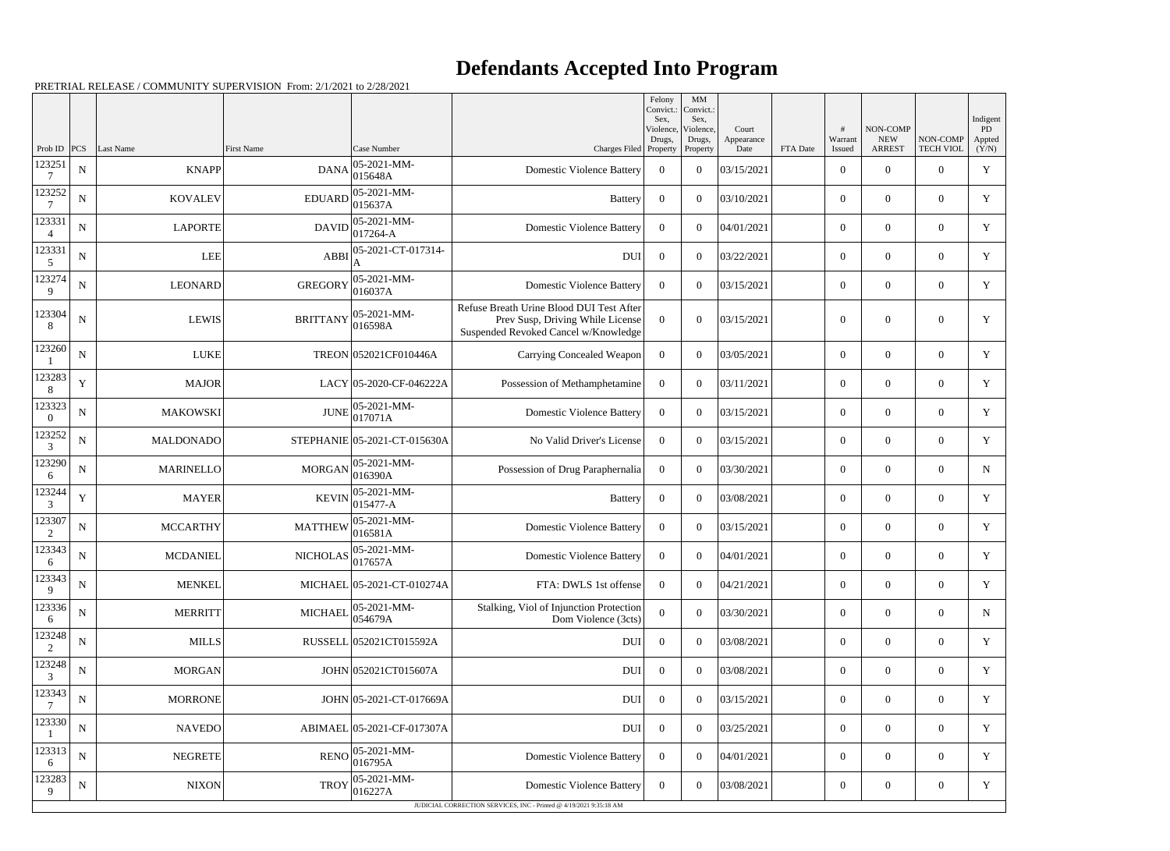|                          |             |                  |                   |                              |                                                                                                                      | Felony<br>Convict.:<br>Sex, | MM<br>Convict.<br>Sex,          |                             |          |                   |                                         |                              | Indigent              |
|--------------------------|-------------|------------------|-------------------|------------------------------|----------------------------------------------------------------------------------------------------------------------|-----------------------------|---------------------------------|-----------------------------|----------|-------------------|-----------------------------------------|------------------------------|-----------------------|
| Prob ID                  | PCS         | Last Name        | <b>First Name</b> | Case Number                  | Charges Filed Property                                                                                               | Violence.<br>Drugs,         | Violence,<br>Drugs,<br>Property | Court<br>Appearance<br>Date | FTA Date | Warrant<br>Issued | NON-COMP<br><b>NEW</b><br><b>ARREST</b> | NON-COMP<br><b>TECH VIOL</b> | PD<br>Appted<br>(Y/N) |
| 123251                   | ${\bf N}$   | <b>KNAPP</b>     | <b>DANA</b>       | 05-2021-MM-<br>015648A       | <b>Domestic Violence Battery</b>                                                                                     | $\overline{0}$              | $\overline{0}$                  | 03/15/2021                  |          | $\boldsymbol{0}$  | $\overline{0}$                          | $\overline{0}$               | $\mathbf Y$           |
| 123252                   | N           | <b>KOVALEV</b>   | <b>EDUARD</b>     | 05-2021-MM-<br>015637A       | Battery                                                                                                              | $\overline{0}$              | $\theta$                        | 03/10/2021                  |          | $\boldsymbol{0}$  | $\theta$                                | $\overline{0}$               | Y                     |
| 123331<br>$\overline{4}$ | N           | <b>LAPORTE</b>   | <b>DAVID</b>      | 05-2021-MM-<br>017264-A      | <b>Domestic Violence Battery</b>                                                                                     | $\overline{0}$              | $\theta$                        | 04/01/2021                  |          | $\mathbf{0}$      | $\Omega$                                | $\overline{0}$               | Y                     |
| 123331<br>5              | ${\bf N}$   | <b>LEE</b>       | <b>ABBI</b>       | 05-2021-CT-017314-           | <b>DUI</b>                                                                                                           | $\overline{0}$              | $\theta$                        | 03/22/2021                  |          | $\overline{0}$    | $\overline{0}$                          | $\overline{0}$               | Y                     |
| 123274<br>9              | ${\bf N}$   | <b>LEONARD</b>   | <b>GREGORY</b>    | 05-2021-MM-<br>016037A       | <b>Domestic Violence Battery</b>                                                                                     | $\overline{0}$              | $\theta$                        | 03/15/2021                  |          | $\mathbf{0}$      | $\overline{0}$                          | $\overline{0}$               | Y                     |
| 123304<br>8              | N           | <b>LEWIS</b>     | <b>BRITTANY</b>   | 05-2021-MM-<br>016598A       | Refuse Breath Urine Blood DUI Test After<br>Prev Susp, Driving While License<br>Suspended Revoked Cancel w/Knowledge | $\Omega$                    | $\overline{0}$                  | 03/15/2021                  |          | $\boldsymbol{0}$  | $\theta$                                | $\overline{0}$               | Y                     |
| 123260                   | ${\bf N}$   | <b>LUKE</b>      |                   | TREON 052021CF010446A        | Carrying Concealed Weapon                                                                                            | $\overline{0}$              | $\overline{0}$                  | 03/05/2021                  |          | $\mathbf{0}$      | $\overline{0}$                          | $\overline{0}$               | $\mathbf Y$           |
| 123283<br>8              | $\mathbf Y$ | <b>MAJOR</b>     |                   | LACY 05-2020-CF-046222A      | Possession of Methamphetamine                                                                                        | $\overline{0}$              | $\overline{0}$                  | 03/11/2021                  |          | $\mathbf{0}$      | $\overline{0}$                          | $\overline{0}$               | Y                     |
| 123323<br>$\theta$       | ${\bf N}$   | <b>MAKOWSKI</b>  | <b>JUNE</b>       | 05-2021-MM-<br>017071A       | <b>Domestic Violence Battery</b>                                                                                     | $\overline{0}$              | $\theta$                        | 03/15/2021                  |          | $\mathbf{0}$      | $\overline{0}$                          | $\overline{0}$               | Y                     |
| 123252<br>3              | N           | <b>MALDONADO</b> |                   | STEPHANIE 05-2021-CT-015630A | No Valid Driver's License                                                                                            | $\Omega$                    | $\theta$                        | 03/15/2021                  |          | $\boldsymbol{0}$  | $\overline{0}$                          | $\overline{0}$               | Y                     |
| 123290<br>6              | ${\bf N}$   | <b>MARINELLO</b> | <b>MORGAN</b>     | 05-2021-MM-<br>016390A       | Possession of Drug Paraphernalia                                                                                     | $\overline{0}$              | $\boldsymbol{0}$                | 03/30/2021                  |          | $\boldsymbol{0}$  | $\overline{0}$                          | $\overline{0}$               | N                     |
| 123244<br>3              | $\mathbf Y$ | <b>MAYER</b>     | <b>KEVIN</b>      | 05-2021-MM-<br>015477-A      | <b>Battery</b>                                                                                                       | $\overline{0}$              | $\overline{0}$                  | 03/08/2021                  |          | $\boldsymbol{0}$  | $\overline{0}$                          | $\overline{0}$               | Y                     |
| 123307<br>2              | ${\bf N}$   | <b>MCCARTHY</b>  | <b>MATTHEW</b>    | 05-2021-MM-<br>016581A       | <b>Domestic Violence Battery</b>                                                                                     | $\overline{0}$              | $\overline{0}$                  | 03/15/2021                  |          | $\boldsymbol{0}$  | $\overline{0}$                          | $\overline{0}$               | Y                     |
| 123343<br>6              | ${\bf N}$   | <b>MCDANIEL</b>  | <b>NICHOLAS</b>   | 05-2021-MM-<br>017657A       | <b>Domestic Violence Battery</b>                                                                                     | $\overline{0}$              | $\overline{0}$                  | 04/01/2021                  |          | $\overline{0}$    | $\theta$                                | $\overline{0}$               | Y                     |
| 123343<br>9              | ${\bf N}$   | <b>MENKEL</b>    |                   | MICHAEL 05-2021-CT-010274A   | FTA: DWLS 1st offense                                                                                                | $\overline{0}$              | $\overline{0}$                  | 04/21/2021                  |          | $\overline{0}$    | $\boldsymbol{0}$                        | $\overline{0}$               | Y                     |
| 123336<br>6              | ${\bf N}$   | <b>MERRITT</b>   | <b>MICHAEL</b>    | 05-2021-MM-<br>054679A       | Stalking, Viol of Injunction Protection<br>Dom Violence (3cts)                                                       | $\overline{0}$              | $\overline{0}$                  | 03/30/2021                  |          | $\boldsymbol{0}$  | $\overline{0}$                          | $\overline{0}$               | N                     |
| 123248<br>$\overline{c}$ | ${\bf N}$   | <b>MILLS</b>     |                   | RUSSELL 052021CT015592A      | <b>DUI</b>                                                                                                           | $\overline{0}$              | $\boldsymbol{0}$                | 03/08/2021                  |          | $\overline{0}$    | $\overline{0}$                          | $\overline{0}$               | $\mathbf Y$           |
| 123248<br>3              | ${\bf N}$   | <b>MORGAN</b>    |                   | JOHN 052021CT015607A         | <b>DUI</b>                                                                                                           | $\bf{0}$                    | $\overline{0}$                  | 03/08/2021                  |          | $\mathbf{0}$      | $\overline{0}$                          | $\overline{0}$               | Y                     |
| 123343<br>7              | ${\bf N}$   | MORRONE          |                   | JOHN 05-2021-CT-017669A      | <b>DUI</b>                                                                                                           | $\overline{0}$              | $\overline{0}$                  | 03/15/2021                  |          | $\boldsymbol{0}$  | $\overline{0}$                          | $\overline{0}$               | $\mathbf Y$           |
| 123330                   | ${\bf N}$   | <b>NAVEDO</b>    |                   | ABIMAEL 05-2021-CF-017307A   | <b>DUI</b>                                                                                                           | $\overline{0}$              | $\overline{0}$                  | 03/25/2021                  |          | $\boldsymbol{0}$  | $\mathbf{0}$                            | $\overline{0}$               | Y                     |
| 123313<br>6              | ${\bf N}$   | <b>NEGRETE</b>   | <b>RENO</b>       | 05-2021-MM-<br>016795A       | <b>Domestic Violence Battery</b>                                                                                     | $\overline{0}$              | $\boldsymbol{0}$                | 04/01/2021                  |          | $\overline{0}$    | $\overline{0}$                          | $\overline{0}$               | $\mathbf Y$           |
| 123283<br>9              | ${\bf N}$   | <b>NIXON</b>     | <b>TROY</b>       | 05-2021-MM-<br>016227A       | <b>Domestic Violence Battery</b>                                                                                     | $\overline{0}$              | $\overline{0}$                  | 03/08/2021                  |          | $\mathbf{0}$      | $\overline{0}$                          | $\overline{0}$               | Y                     |
|                          |             |                  |                   |                              | JUDICIAL CORRECTION SERVICES, INC - Printed @ 4/19/2021 9:35:18 AM                                                   |                             |                                 |                             |          |                   |                                         |                              |                       |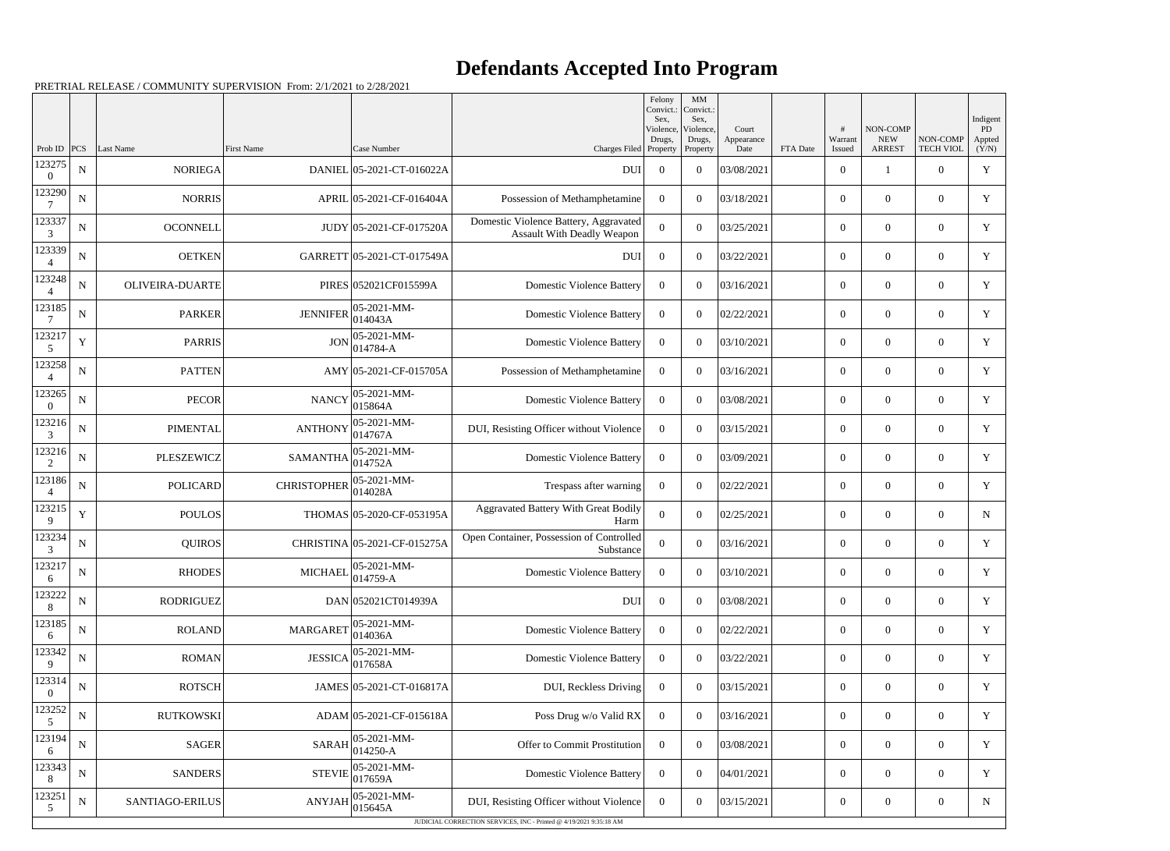|                          |             |                        |                    |                                                                |                                                                            | Felony<br>Convict.:<br>Sex.     | MM<br>Convict.:<br>Sex,         |                             |          |                        |                                         |                              | Indigent                     |
|--------------------------|-------------|------------------------|--------------------|----------------------------------------------------------------|----------------------------------------------------------------------------|---------------------------------|---------------------------------|-----------------------------|----------|------------------------|-----------------------------------------|------------------------------|------------------------------|
| Prob ID                  | PCS         | Last Name              | <b>First Name</b>  | Case Number                                                    | Charges Filed                                                              | Violence,<br>Drugs,<br>Property | Violence,<br>Drugs,<br>Property | Court<br>Appearance<br>Date | FTA Date | #<br>Warrant<br>Issued | NON-COMP<br><b>NEW</b><br><b>ARREST</b> | NON-COMP<br><b>TECH VIOL</b> | <b>PD</b><br>Appted<br>(Y/N) |
| 123275<br>$\Omega$       | ${\bf N}$   | <b>NORIEGA</b>         |                    | DANIEL 05-2021-CT-016022A                                      | <b>DUI</b>                                                                 | $\overline{0}$                  | $\theta$                        | 03/08/2021                  |          | $\boldsymbol{0}$       |                                         | $\theta$                     | $\mathbf Y$                  |
| 123290                   | ${\bf N}$   | <b>NORRIS</b>          |                    | APRIL 05-2021-CF-016404A                                       | Possession of Methamphetamine                                              | $\Omega$                        | $\theta$                        | 03/18/2021                  |          | $\overline{0}$         | $\mathbf{0}$                            | $\overline{0}$               | Y                            |
| 123337<br>$\mathfrak{Z}$ | ${\bf N}$   | <b>OCONNELL</b>        |                    | JUDY 05-2021-CF-017520A                                        | Domestic Violence Battery, Aggravated<br><b>Assault With Deadly Weapon</b> | $\theta$                        | $\theta$                        | 03/25/2021                  |          | $\overline{0}$         | $\theta$                                | $\overline{0}$               | Y                            |
| 123339                   | ${\bf N}$   | <b>OETKEN</b>          |                    | GARRETT 05-2021-CT-017549A                                     | <b>DUI</b>                                                                 | $\Omega$                        | $\theta$                        | 03/22/2021                  |          | $\overline{0}$         | $\overline{0}$                          | $\overline{0}$               | Y                            |
| 123248                   | $\mathbf N$ | <b>OLIVEIRA-DUARTE</b> |                    | PIRES 052021CF015599A                                          | <b>Domestic Violence Battery</b>                                           | $\Omega$                        | $\theta$                        | 03/16/2021                  |          | $\boldsymbol{0}$       | $\theta$                                | $\overline{0}$               | $\mathbf Y$                  |
| 123185                   | ${\bf N}$   | <b>PARKER</b>          | <b>JENNIFER</b>    | $05 - 2021 - MM -$<br>014043A                                  | <b>Domestic Violence Battery</b>                                           | $\Omega$                        | $\theta$                        | 02/22/2021                  |          | $\overline{0}$         | $\mathbf{0}$                            | $\overline{0}$               | Y                            |
| 123217<br>5              | $\mathbf Y$ | <b>PARRIS</b>          | <b>JON</b>         | 05-2021-MM-<br>$014784 - A$                                    | <b>Domestic Violence Battery</b>                                           | $\Omega$                        | $\theta$                        | 03/10/2021                  |          | $\overline{0}$         | $\theta$                                | $\overline{0}$               | Y                            |
| 123258                   | ${\bf N}$   | <b>PATTEN</b>          |                    | AMY 05-2021-CF-015705A                                         | Possession of Methamphetamine                                              | $\Omega$                        | $\theta$                        | 03/16/2021                  |          | $\overline{0}$         | $\overline{0}$                          | $\overline{0}$               | Y                            |
| 123265<br>$\theta$       | ${\bf N}$   | <b>PECOR</b>           | <b>NANCY</b>       | $05 - 2021 - MM -$<br>015864A                                  | <b>Domestic Violence Battery</b>                                           | $\Omega$                        | $\theta$                        | 03/08/2021                  |          | $\boldsymbol{0}$       | $\theta$                                | $\overline{0}$               | Y                            |
| 123216<br>$\mathfrak{Z}$ | ${\bf N}$   | <b>PIMENTAL</b>        | <b>ANTHONY</b>     | $05 - 2021 - MM -$<br>014767A                                  | DUI, Resisting Officer without Violence                                    | $\Omega$                        | $\theta$                        | 03/15/2021                  |          | $\overline{0}$         | $\mathbf{0}$                            | $\overline{0}$               | Y                            |
| 123216<br>2              | ${\bf N}$   | <b>PLESZEWICZ</b>      | <b>SAMANTHA</b>    | 05-2021-MM-<br>014752A                                         | <b>Domestic Violence Battery</b>                                           | $\overline{0}$                  | $\theta$                        | 03/09/2021                  |          | $\overline{0}$         | $\theta$                                | $\overline{0}$               | Y                            |
| 123186                   | ${\bf N}$   | <b>POLICARD</b>        | <b>CHRISTOPHER</b> | 05-2021-MM-<br>014028A                                         | Trespass after warning                                                     | $\Omega$                        | $\theta$                        | 02/22/2021                  |          | $\overline{0}$         | $\overline{0}$                          | $\overline{0}$               | Y                            |
| 123215<br>9              | $\mathbf Y$ | <b>POULOS</b>          |                    | THOMAS 05-2020-CF-053195A                                      | Aggravated Battery With Great Bodily<br>Harm                               | $\Omega$                        | $\theta$                        | 02/25/2021                  |          | $\overline{0}$         | $\theta$                                | $\overline{0}$               | $\mathbf N$                  |
| 123234<br>3              | ${\bf N}$   | <b>QUIROS</b>          |                    | CHRISTINA 05-2021-CF-015275A                                   | Open Container, Possession of Controlled<br>Substance                      | $\Omega$                        | $\theta$                        | 03/16/2021                  |          | $\overline{0}$         | $\overline{0}$                          | $\overline{0}$               | Y                            |
| 123217<br>6              | ${\bf N}$   | <b>RHODES</b>          |                    | MICHAEL $\begin{bmatrix} 05-2021-MM \\ 014759-A \end{bmatrix}$ | <b>Domestic Violence Battery</b>                                           | $\bf{0}$                        | $\boldsymbol{0}$                | 03/10/2021                  |          | $\boldsymbol{0}$       | $\boldsymbol{0}$                        | $\boldsymbol{0}$             | Y                            |
| 123222<br>8              | ${\bf N}$   | <b>RODRIGUEZ</b>       |                    | DAN 052021CT014939A                                            | <b>DUI</b>                                                                 | $\overline{0}$                  | $\overline{0}$                  | 03/08/2021                  |          | $\boldsymbol{0}$       | $\boldsymbol{0}$                        | $\boldsymbol{0}$             | Y                            |
| 123185<br>6              | ${\bf N}$   | <b>ROLAND</b>          | <b>MARGARET</b>    | 05-2021-MM-<br>014036A                                         | <b>Domestic Violence Battery</b>                                           | $\overline{0}$                  | $\overline{0}$                  | 02/22/2021                  |          | $\boldsymbol{0}$       | $\overline{0}$                          | $\boldsymbol{0}$             | Y                            |
| 123342<br>9              | ${\bf N}$   | <b>ROMAN</b>           | <b>JESSICA</b>     | 05-2021-MM-<br>017658A                                         | <b>Domestic Violence Battery</b>                                           | $\overline{0}$                  | $\overline{0}$                  | 03/22/2021                  |          | $\boldsymbol{0}$       | $\overline{0}$                          | $\boldsymbol{0}$             | Y                            |
| 123314<br>$\overline{0}$ | ${\bf N}$   | <b>ROTSCH</b>          |                    | JAMES 05-2021-CT-016817A                                       | DUI, Reckless Driving                                                      | $\overline{0}$                  | $\overline{0}$                  | 03/15/2021                  |          | $\boldsymbol{0}$       | $\overline{0}$                          | $\boldsymbol{0}$             | Y                            |
| 123252<br>$\mathfrak{S}$ | ${\bf N}$   | <b>RUTKOWSKI</b>       |                    | ADAM 05-2021-CF-015618A                                        | Poss Drug w/o Valid RX                                                     | $\overline{0}$                  | $\overline{0}$                  | 03/16/2021                  |          | $\boldsymbol{0}$       | $\mathbf{0}$                            | $\overline{0}$               | Y                            |
| 123194<br>6              | ${\bf N}$   | <b>SAGER</b>           | <b>SARAH</b>       | $05 - 2021 - MM -$<br>014250-A                                 | Offer to Commit Prostitution                                               | $\overline{0}$                  | $\overline{0}$                  | 03/08/2021                  |          | $\overline{0}$         | $\overline{0}$                          | $\overline{0}$               | Y                            |
| 123343<br>8              | ${\bf N}$   | <b>SANDERS</b>         | <b>STEVIE</b>      | 05-2021-MM-<br>017659A                                         | <b>Domestic Violence Battery</b>                                           | $\overline{0}$                  | $\overline{0}$                  | 04/01/2021                  |          | $\boldsymbol{0}$       | $\overline{0}$                          | $\overline{0}$               | Y                            |
| 123251<br>5              | N           | SANTIAGO-ERILUS        | <b>ANYJAH</b>      | 05-2021-MM-<br>015645A                                         | DUI, Resisting Officer without Violence                                    | $\overline{0}$                  | $\overline{0}$                  | 03/15/2021                  |          | $\boldsymbol{0}$       | $\overline{0}$                          | $\boldsymbol{0}$             | $\mathbf N$                  |
|                          |             |                        |                    |                                                                | JUDICIAL CORRECTION SERVICES, INC - Printed @ 4/19/2021 9:35:18 AM         |                                 |                                 |                             |          |                        |                                         |                              |                              |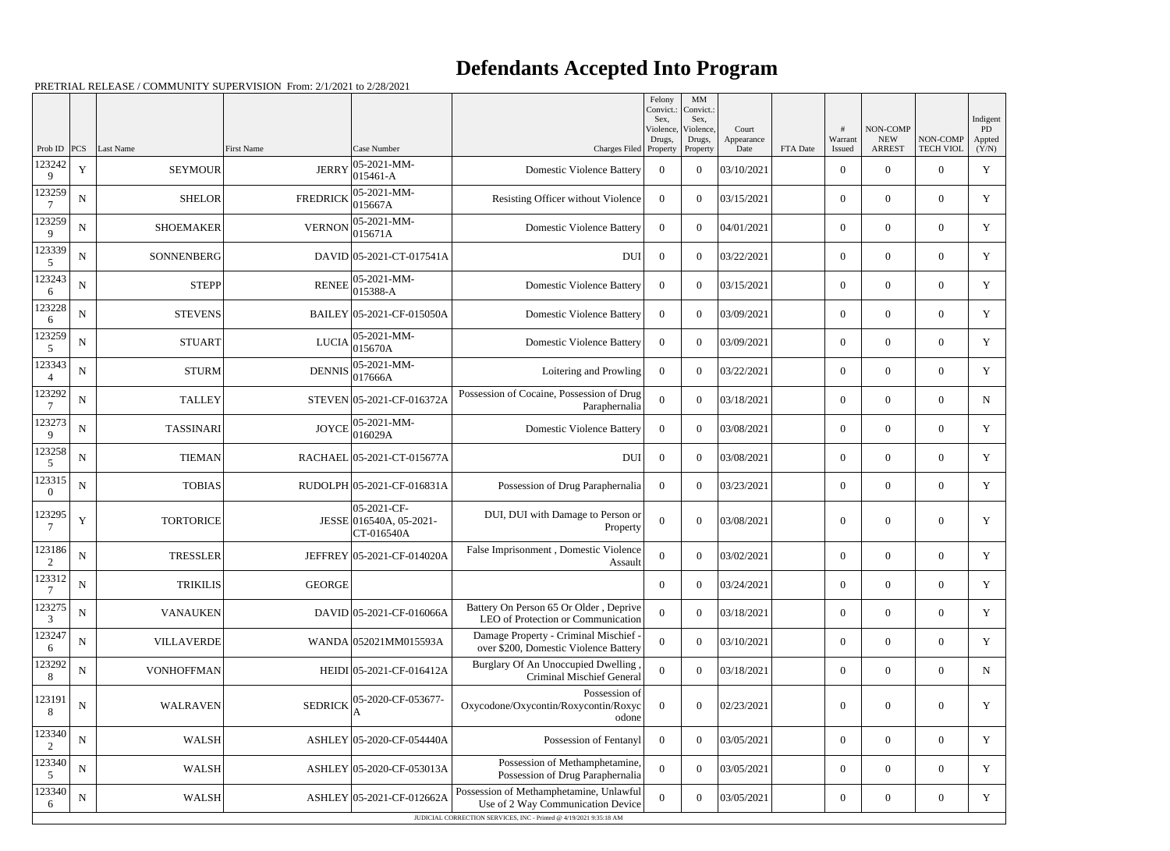|                    |             |                   |                   |                                                      |                                                                                | Felony<br>Convict.:         | MM<br>Convict.:             |                     |          |                  |                        |                  |                                 |
|--------------------|-------------|-------------------|-------------------|------------------------------------------------------|--------------------------------------------------------------------------------|-----------------------------|-----------------------------|---------------------|----------|------------------|------------------------|------------------|---------------------------------|
|                    |             |                   |                   |                                                      |                                                                                | Sex.<br>Violence,<br>Drugs, | Sex,<br>Violence,<br>Drugs, | Court<br>Appearance |          | #<br>Warrant     | NON-COMP<br><b>NEW</b> | NON-COMP         | Indigent<br><b>PD</b><br>Appted |
| Prob ID            | PCS         | Last Name         | <b>First Name</b> | Case Number                                          | Charges Filed Property                                                         |                             | Property                    | Date                | FTA Date | Issued           | <b>ARREST</b>          | <b>TECH VIOL</b> | (Y/N)                           |
| 123242<br>9        | $\mathbf Y$ | <b>SEYMOUR</b>    | <b>JERRY</b>      | 05-2021-MM-<br>015461-A                              | <b>Domestic Violence Battery</b>                                               | $\overline{0}$              | $\mathbf{0}$                | 03/10/2021          |          | $\overline{0}$   | $\overline{0}$         | $\overline{0}$   | Y                               |
| 123259             | N           | <b>SHELOR</b>     | <b>FREDRICK</b>   | 05-2021-MM-<br>015667A                               | Resisting Officer without Violence                                             | $\overline{0}$              | $\Omega$                    | 03/15/2021          |          | $\overline{0}$   | $\overline{0}$         | $\overline{0}$   | Y                               |
| 123259<br>9        | ${\bf N}$   | <b>SHOEMAKER</b>  | <b>VERNON</b>     | 05-2021-MM-<br>015671A                               | <b>Domestic Violence Battery</b>                                               | $\overline{0}$              | $\overline{0}$              | 04/01/2021          |          | $\overline{0}$   | $\overline{0}$         | $\overline{0}$   | Y                               |
| 123339<br>5        | N           | SONNENBERG        |                   | DAVID 05-2021-CT-017541A                             | <b>DUI</b>                                                                     | $\overline{0}$              | $\Omega$                    | 03/22/2021          |          | $\overline{0}$   | $\overline{0}$         | $\overline{0}$   | Y                               |
| 123243<br>6        | ${\bf N}$   | <b>STEPP</b>      | <b>RENEE</b>      | 05-2021-MM-<br>015388-A                              | <b>Domestic Violence Battery</b>                                               | $\overline{0}$              | $\Omega$                    | 03/15/2021          |          | $\theta$         | $\theta$               | $\overline{0}$   | Y                               |
| 123228<br>6        | $\mathbf N$ | <b>STEVENS</b>    |                   | BAILEY 05-2021-CF-015050A                            | <b>Domestic Violence Battery</b>                                               | $\overline{0}$              | $\Omega$                    | 03/09/2021          |          | $\overline{0}$   | $\overline{0}$         | $\overline{0}$   | Y                               |
| 123259<br>5        | N           | <b>STUART</b>     | <b>LUCIA</b>      | 05-2021-MM-<br>015670A                               | <b>Domestic Violence Battery</b>                                               | $\overline{0}$              | $\overline{0}$              | 03/09/2021          |          | $\overline{0}$   | $\overline{0}$         | $\overline{0}$   | Y                               |
| 123343             | N           | <b>STURM</b>      | <b>DENNIS</b>     | 05-2021-MM-<br>017666A                               | Loitering and Prowling                                                         | $\overline{0}$              | $\overline{0}$              | 03/22/2021          |          | $\overline{0}$   | $\overline{0}$         | $\overline{0}$   | Y                               |
| 123292<br>7        | N           | <b>TALLEY</b>     |                   | STEVEN 05-2021-CF-016372A                            | Possession of Cocaine, Possession of Drug<br>Paraphernalia                     | $\theta$                    | $\Omega$                    | 03/18/2021          |          | $\theta$         | $\theta$               | $\overline{0}$   | N                               |
| 123273<br>9        | N           | <b>TASSINARI</b>  | <b>JOYCE</b>      | 05-2021-MM-<br>016029A                               | <b>Domestic Violence Battery</b>                                               | $\Omega$                    | $\Omega$                    | 03/08/2021          |          | $\overline{0}$   | $\overline{0}$         | $\overline{0}$   | Y                               |
| 123258<br>5        | ${\bf N}$   | <b>TIEMAN</b>     |                   | RACHAEL 05-2021-CT-015677A                           | <b>DUI</b>                                                                     | $\overline{0}$              | $\overline{0}$              | 03/08/2021          |          | $\overline{0}$   | $\overline{0}$         | $\overline{0}$   | Y                               |
| 123315<br>$\theta$ | ${\bf N}$   | <b>TOBIAS</b>     |                   | RUDOLPH 05-2021-CF-016831A                           | Possession of Drug Paraphernalia                                               | $\overline{0}$              | $\Omega$                    | 03/23/2021          |          | $\overline{0}$   | $\overline{0}$         | $\overline{0}$   | Y                               |
| 123295<br>7        | $\mathbf Y$ | <b>TORTORICE</b>  |                   | 05-2021-CF-<br>JESSE 016540A, 05-2021-<br>CT-016540A | DUI, DUI with Damage to Person or<br>Property                                  | $\boldsymbol{0}$            | $\Omega$                    | 03/08/2021          |          | $\overline{0}$   | $\overline{0}$         | $\overline{0}$   | Y                               |
| 123186             | N           | <b>TRESSLER</b>   |                   | JEFFREY 05-2021-CF-014020A                           | False Imprisonment, Domestic Violence<br>Assault                               | $\overline{0}$              | $\mathbf{0}$                | 03/02/2021          |          | $\overline{0}$   | $\overline{0}$         | $\overline{0}$   | Y                               |
| 123312             | ${\bf N}$   | <b>TRIKILIS</b>   | <b>GEORGE</b>     |                                                      |                                                                                | $\overline{0}$              | $\Omega$                    | 03/24/2021          |          | $\overline{0}$   | $\mathbf{0}$           | $\overline{0}$   | $\mathbf Y$                     |
| 123275<br>3        | ${\bf N}$   | <b>VANAUKEN</b>   |                   | $DAVID$ 05-2021-CF-016066A                           | Battery On Person 65 Or Older, Deprive<br>LEO of Protection or Communication   | $\overline{0}$              | $\mathbf{0}$                | 03/18/2021          |          | $\overline{0}$   | $\overline{0}$         | $\overline{0}$   | Y                               |
| 123247<br>6        | ${\bf N}$   | <b>VILLAVERDE</b> |                   | WANDA 052021MM015593A                                | Damage Property - Criminal Mischief -<br>over \$200, Domestic Violence Battery | $\boldsymbol{0}$            | $\Omega$                    | 03/10/2021          |          | $\overline{0}$   | $\overline{0}$         | $\overline{0}$   | Y                               |
| 123292<br>8        | N           | <b>VONHOFFMAN</b> |                   | HEIDI 05-2021-CF-016412A                             | Burglary Of An Unoccupied Dwelling<br><b>Criminal Mischief General</b>         | $\overline{0}$              | $\mathbf{0}$                | 03/18/2021          |          | $\overline{0}$   | $\overline{0}$         | $\overline{0}$   | $\mathbf N$                     |
| 123191<br>8        | ${\bf N}$   | <b>WALRAVEN</b>   | <b>SEDRICK</b>    | 05-2020-CF-053677-                                   | Possession of<br>Oxycodone/Oxycontin/Roxycontin/Roxyc<br>odone                 | $\theta$                    | $\overline{0}$              | 02/23/2021          |          | $\boldsymbol{0}$ | $\mathbf{0}$           | $\overline{0}$   | Y                               |
| 123340             | ${\bf N}$   | <b>WALSH</b>      |                   | ASHLEY 05-2020-CF-054440A                            | Possession of Fentanyl                                                         | $\overline{0}$              | $\boldsymbol{0}$            | 03/05/2021          |          | $\overline{0}$   | $\mathbf{0}$           | $\overline{0}$   | Y                               |
| 123340<br>5        | ${\bf N}$   | <b>WALSH</b>      |                   | ASHLEY 05-2020-CF-053013A                            | Possession of Methamphetamine,<br>Possession of Drug Paraphernalia             | $\overline{0}$              | $\overline{0}$              | 03/05/2021          |          | $\mathbf{0}$     | $\overline{0}$         | $\overline{0}$   | $\mathbf Y$                     |
| 123340<br>6        | ${\bf N}$   | <b>WALSH</b>      |                   | ASHLEY 05-2021-CF-012662A                            | Possession of Methamphetamine, Unlawful<br>Use of 2 Way Communication Device   | 0                           | $\mathbf{0}$                | 03/05/2021          |          | $\boldsymbol{0}$ | $\mathbf{0}$           | $\boldsymbol{0}$ | Y                               |
|                    |             |                   |                   |                                                      | JUDICIAL CORRECTION SERVICES, INC - Printed @ 4/19/2021 9:35:18 AM             |                             |                             |                     |          |                  |                        |                  |                                 |